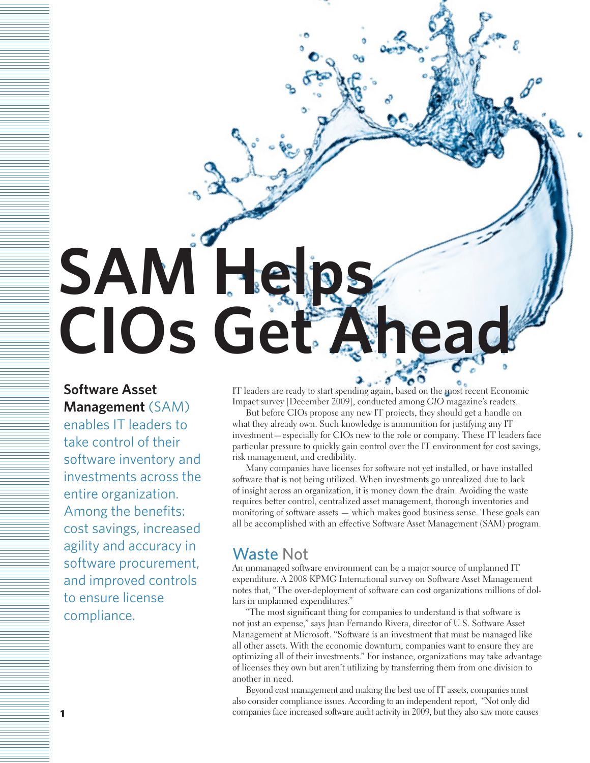# **SAM Helps CIOs Get Ahea**

**Software Asset** 

**Management** (SAM) enables IT leaders to take control of their software inventory and investments across the entire organization. Among the benefits: cost savings, increased agility and accuracy in software procurement, and improved controls to ensure license compliance.

IT leaders are ready to start spending again, based on the most recent Economic Impact survey [December 2009], conducted among *CIO* magazine's readers.

But before CIOs propose any new IT projects, they should get a handle on what they already own. Such knowledge is ammunition for justifying any IT investment—especially for CIOs new to the role or company. These IT leaders face particular pressure to quickly gain control over the IT environment for cost savings, risk management, and credibility.

Many companies have licenses for software not yet installed, or have installed software that is not being utilized. When investments go unrealized due to lack of insight across an organization, it is money down the drain. Avoiding the waste requires better control, centralized asset management, thorough inventories and monitoring of software assets — which makes good business sense. These goals can all be accomplished with an effective Software Asset Management (SAM) program.

## Waste Not

An unmanaged software environment can be a major source of unplanned IT expenditure. A 2008 KPMG International survey on Software Asset Management notes that, "The over-deployment of software can cost organizations millions of dollars in unplanned expenditures."

"The most significant thing for companies to understand is that software is not just an expense," says Juan Fernando Rivera, director of U.S. Software Asset Management at Microsoft. "Software is an investment that must be managed like all other assets. With the economic downturn, companies want to ensure they are optimizing all of their investments." For instance, organizations may take advantage of licenses they own but aren't utilizing by transferring them from one division to another in need.

Beyond cost management and making the best use of IT assets, companies must also consider compliance issues. According to an independent report, "Not only did companies face increased software audit activity in 2009, but they also saw more causes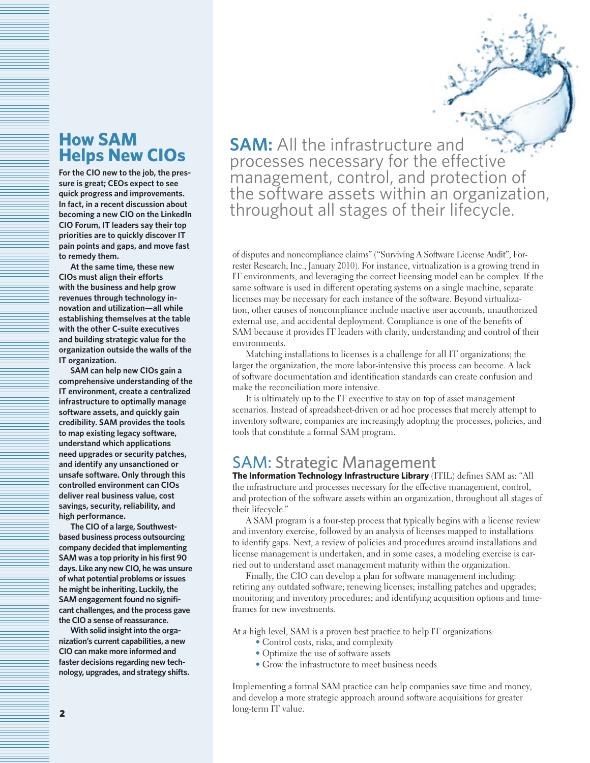# **How SAM Helps New CIOs**

**For the CIO new to the job, the pressure is great; CEOs expect to see quick progress and improvements. In fact, in a recent discussion about becoming a new CIO on the LinkedIn CIO Forum, IT leaders say their top priorities are to quickly discover IT pain points and gaps, and move fast to remedy them.** 

**At the same time, these new CIOs must align their efforts with the business and help grow revenues through technology innovation and utilization—all while establishing themselves at the table with the other C-suite executives and building strategic value for the organization outside the walls of the IT organization.**

**SAM can help new CIOs gain a comprehensive understanding of the IT environment, create a centralized infrastructure to optimally manage software assets, and quickly gain credibility. SAM provides the tools to map existing legacy software, understand which applications need upgrades or security patches, and identify any unsanctioned or unsafe software. Only through this controlled environment can CIOs deliver real business value, cost savings, security, reliability, and high performance.**

**The CIO of a large, Southwestbased business process outsourcing company decided that implementing SAM was a top priority in his first 90 days. Like any new CIO, he was unsure of what potential problems or issues he might be inheriting. Luckily, the SAM engagement found no significant challenges, and the process gave the CIO a sense of reassurance.**

**With solid insight into the organization's current capabilities, a new CIO can make more informed and faster decisions regarding new technology, upgrades, and strategy shifts.** **SAM:** All the infrastructure and processes necessary for the effective management, control, and protection of the software assets within an organization, throughout all stages of their lifecycle.

of disputes and noncompliance claims" ("Surviving A Software License Audit", Forrester Research, Inc., January 2010). For instance, virtualization is a growing trend in IT environments, and leveraging the correct licensing model can be complex. If the same software is used in different operating systems on a single machine, separate licenses may be necessary for each instance of the software. Beyond virtualization, other causes of noncompliance include inactive user accounts, unauthorized external use, and accidental deployment. Compliance is one of the benefits of SAM because it provides IT leaders with clarity, understanding and control of their environments.

Matching installations to licenses is a challenge for all IT organizations; the larger the organization, the more labor-intensive this process can become. A lack of software documentation and identification standards can create confusion and make the reconciliation more intensive.

It is ultimately up to the IT executive to stay on top of asset management scenarios. Instead of spreadsheet-driven or ad hoc processes that merely attempt to inventory software, companies are increasingly adopting the processes, policies, and tools that constitute a formal SAM program.

## SAM: Strategic Management

**The Information Technology Infrastructure Library** (ITIL) defines SAM as: "All the infrastructure and processes necessary for the effective management, control, and protection of the software assets within an organization, throughout all stages of their lifecycle."

A SAM program is a four-step process that typically begins with a license review and inventory exercise, followed by an analysis of licenses mapped to installations to identify gaps. Next, a review of policies and procedures around installations and license management is undertaken, and in some cases, a modeling exercise is carried out to understand asset management maturity within the organization.

Finally, the CIO can develop a plan for software management including: retiring any outdated software; renewing licenses; installing patches and upgrades; monitoring and inventory procedures; and identifying acquisition options and timeframes for new investments.

At a high level, SAM is a proven best practice to help IT organizations:

- Control costs, risks, and complexity
- Optimize the use of software assets
- Grow the infrastructure to meet business needs

Implementing a formal SAM practice can help companies save time and money, and develop a more strategic approach around software acquisitions for greater long-term IT value.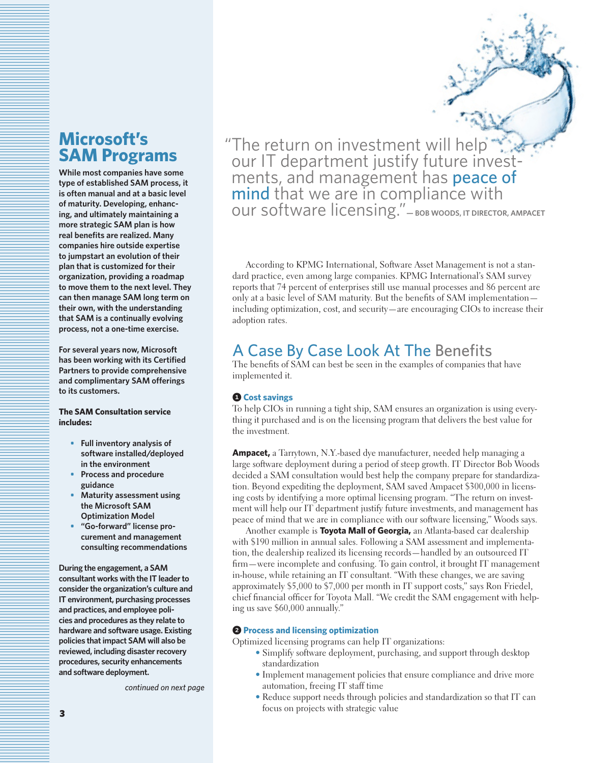# **Microsoft's SAM Programs**

**While most companies have some type of established SAM process, it is often manual and at a basic level of maturity. Developing, enhancing, and ultimately maintaining a more strategic SAM plan is how real benefits are realized. Many companies hire outside expertise to jumpstart an evolution of their plan that is customized for their organization, providing a roadmap to move them to the next level. They can then manage SAM long term on their own, with the understanding that SAM is a continually evolving process, not a one-time exercise.** 

**For several years now, Microsoft has been working with its Certified Partners to provide comprehensive and complimentary SAM offerings to its customers.** 

### **The SAM Consultation service includes:**

- **• Full inventory analysis of software installed/deployed in the environment**
- **• Process and procedure guidance**
- **• Maturity assessment using the Microsoft SAM Optimization Model**
- **• "Go-forward" license procurement and management consulting recommendations**

**During the engagement, a SAM consultant works with the IT leader to consider the organization's culture and IT environment, purchasing processes and practices, and employee policies and procedures as they relate to hardware and software usage. Existing policies that impact SAM will also be reviewed, including disaster recovery procedures, security enhancements and software deployment.**

*continued on next page*

"The return on investment will help"."<br>"our IT department justify future invest ments, and management has **peace of<br>mind** that we are in compliance with<br>our software licensing." – BOB WOODS, IT DIRECTOR, AMPACET

According to KPMG International, Software Asset Management is not a standard practice, even among large companies. KPMG International's SAM survey reports that 74 percent of enterprises still use manual processes and 86 percent are only at a basic level of SAM maturity. But the benefits of SAM implementation including optimization, cost, and security—are encouraging CIOs to increase their adoption rates.

# A Case By Case Look At The Benefits

The benefits of SAM can best be seen in the examples of companies that have implemented it.

## **0 Cost savings**

To help CIOs in running a tight ship, SAM ensures an organization is using everything it purchased and is on the licensing program that delivers the best value for the investment.

**Ampacet,** a Tarrytown, N.Y.-based dye manufacturer, needed help managing a large software deployment during a period of steep growth. IT Director Bob Woods decided a SAM consultation would best help the company prepare for standardization. Beyond expediting the deployment, SAM saved Ampacet \$300,000 in licensing costs by identifying a more optimal licensing program. "The return on investment will help our IT department justify future investments, and management has peace of mind that we are in compliance with our software licensing," Woods says.

Another example is **Toyota Mall of Georgia,** an Atlanta-based car dealership with \$190 million in annual sales. Following a SAM assessment and implementation, the dealership realized its licensing records—handled by an outsourced IT firm—were incomplete and confusing. To gain control, it brought IT management in-house, while retaining an IT consultant. "With these changes, we are saving approximately \$5,000 to \$7,000 per month in IT support costs," says Ron Friedel, chief financial officer for Toyota Mall. "We credit the SAM engagement with helping us save \$60,000 annually."

### 2 **Process and licensing optimization**

Optimized licensing programs can help IT organizations:

- Simplify software deployment, purchasing, and support through desktop standardization
- Implement management policies that ensure compliance and drive more automation, freeing IT staff time
- Reduce support needs through policies and standardization so that IT can focus on projects with strategic value